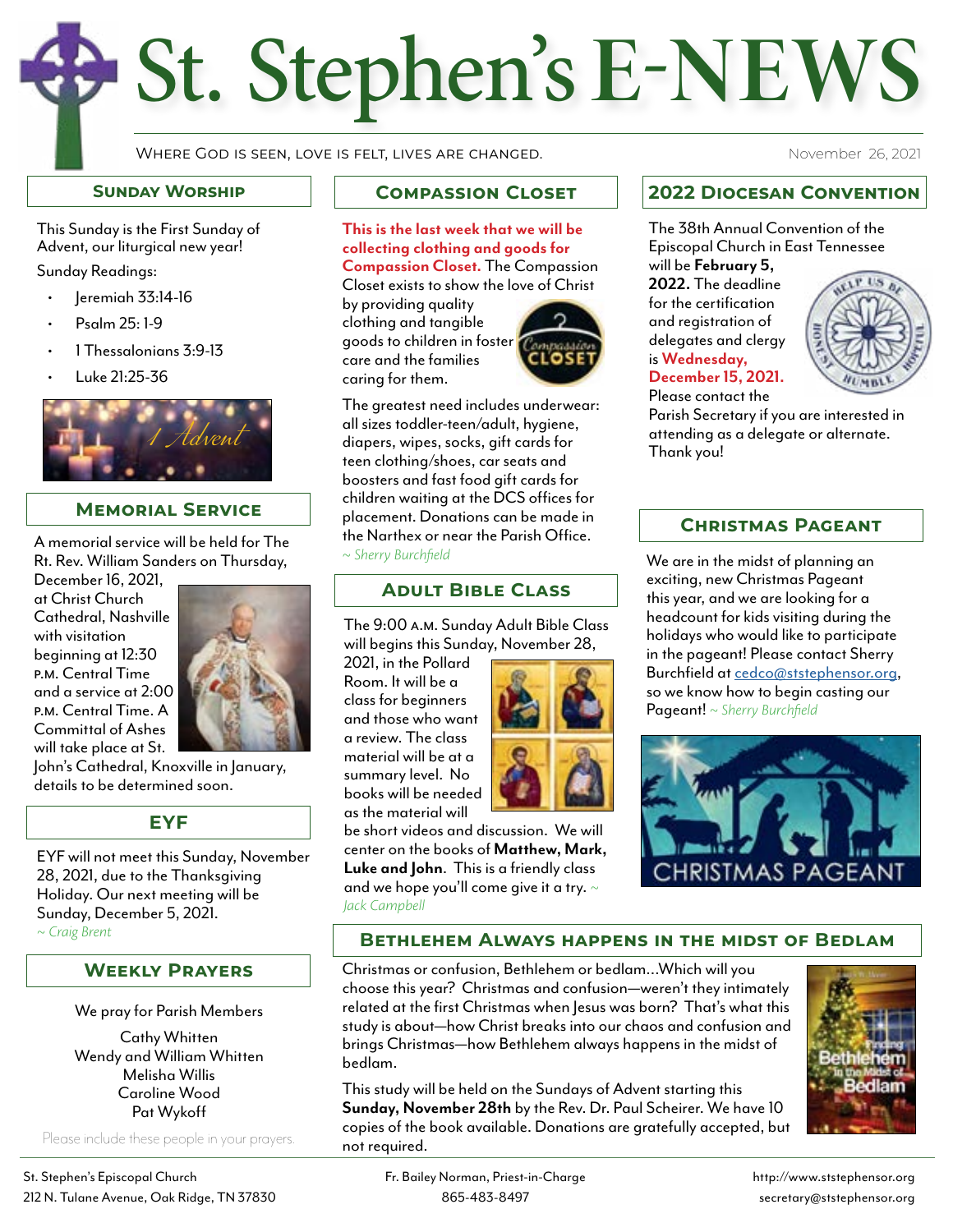# St. Stephen's **E-NEWS**

Where God is seen, love is felt, lives are changed.

#### **Sunday Worship**

This Sunday is the First Sunday of Advent, our liturgical new year!

Sunday Readings:

- Jeremiah 33:14-16
- Psalm 25: 1-9
- 1 Thessalonians 3:9-13
- Luke 21:25-36



#### **Memorial Service**

A memorial service will be held for The Rt. Rev. William Sanders on Thursday,

December 16, 2021, at Christ Church Cathedral, Nashville with visitation beginning at 12:30 p.m. Central Time and a service at 2:00 p.m. Central Time. A Committal of Ashes will take place at St.



John's Cathedral, Knoxville in January, details to be determined soon.

#### **EYF**

EYF will not meet this Sunday, November 28, 2021, due to the Thanksgiving Holiday. Our next meeting will be Sunday, December 5, 2021. *~ Craig Brent*

#### **Weekly Prayers**

#### We pray for Parish Members

Cathy Whitten Wendy and William Whitten Melisha Willis Caroline Wood Pat Wykoff

Please include these people in your prayers.

St. Stephen's Episcopal Church Fr. Bailey Norman, Priest-in-Charge http://www.ststephensor.org http://www.ststephensor.org 212 N. Tulane Avenue, Oak Ridge, TN 37830 865-483-8497 secretary@ststephensor.org

## **Compassion Closet**

**This is the last week that we will be collecting clothing and goods for Compassion Closet.** The Compassion Closet exists to show the love of Christ

by providing quality clothing and tangible goods to children in foster care and the families caring for them.



The greatest need includes underwear: all sizes toddler-teen/adult, hygiene, diapers, wipes, socks, gift cards for teen clothing/shoes, car seats and boosters and fast food gift cards for children waiting at the DCS offices for placement. Donations can be made in the Narthex or near the Parish Office. *~ Sherry Burchfield*

## **Adult Bible Class**

The 9:00 a.m. Sunday Adult Bible Class will begins this Sunday, November 28,

2021, in the Pollard Room. It will be a class for beginners and those who want a review. The class material will be at a summary level. No books will be needed as the material will



be short videos and discussion. We will center on the books of **Matthew, Mark, Luke and John**. This is a friendly class and we hope you'll come give it a try. *~ Jack Campbell* 

November 26, 2021

## **2022 Diocesan Convention**

The 38th Annual Convention of the Episcopal Church in East Tennessee will be **February 5,** 

**2022.** The deadline for the certification and registration of delegates and clergy is **Wednesday, December 15, 2021.**



Please contact the Parish Secretary if you are interested in attending as a delegate or alternate. Thank you!

## **Christmas Pageant**

We are in the midst of planning an exciting, new Christmas Pageant this year, and we are looking for a headcount for kids visiting during the holidays who would like to participate in the pageant! Please contact Sherry<br>Burchfield at cedco@ststephensor.org, so we know how to begin casting our Pageant! *~ Sherry Burchfield*



## **Bethlehem Always happens in the midst of Bedlam**

Christmas or confusion, Bethlehem or bedlam…Which will you choose this year? Christmas and confusion—weren't they intimately related at the first Christmas when Jesus was born? That's what this study is about—how Christ breaks into our chaos and confusion and brings Christmas—how Bethlehem always happens in the midst of bedlam.

This study will be held on the Sundays of Advent starting this **Sunday, November 28th** by the Rev. Dr. Paul Scheirer. We have 10 copies of the book available. Donations are gratefully accepted, but not required.